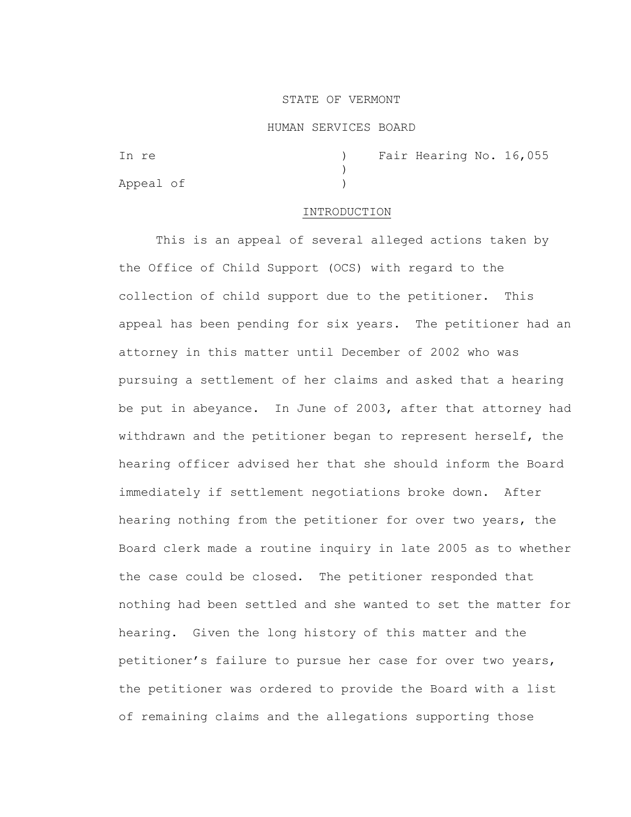### STATE OF VERMONT

#### HUMAN SERVICES BOARD

| In re     |  | ) Fair Hearing No. 16,055 |  |
|-----------|--|---------------------------|--|
|           |  |                           |  |
| Appeal of |  |                           |  |

### INTRODUCTION

This is an appeal of several alleged actions taken by the Office of Child Support (OCS) with regard to the collection of child support due to the petitioner. This appeal has been pending for six years. The petitioner had an attorney in this matter until December of 2002 who was pursuing a settlement of her claims and asked that a hearing be put in abeyance. In June of 2003, after that attorney had withdrawn and the petitioner began to represent herself, the hearing officer advised her that she should inform the Board immediately if settlement negotiations broke down. After hearing nothing from the petitioner for over two years, the Board clerk made a routine inquiry in late 2005 as to whether the case could be closed. The petitioner responded that nothing had been settled and she wanted to set the matter for hearing. Given the long history of this matter and the petitioner's failure to pursue her case for over two years, the petitioner was ordered to provide the Board with a list of remaining claims and the allegations supporting those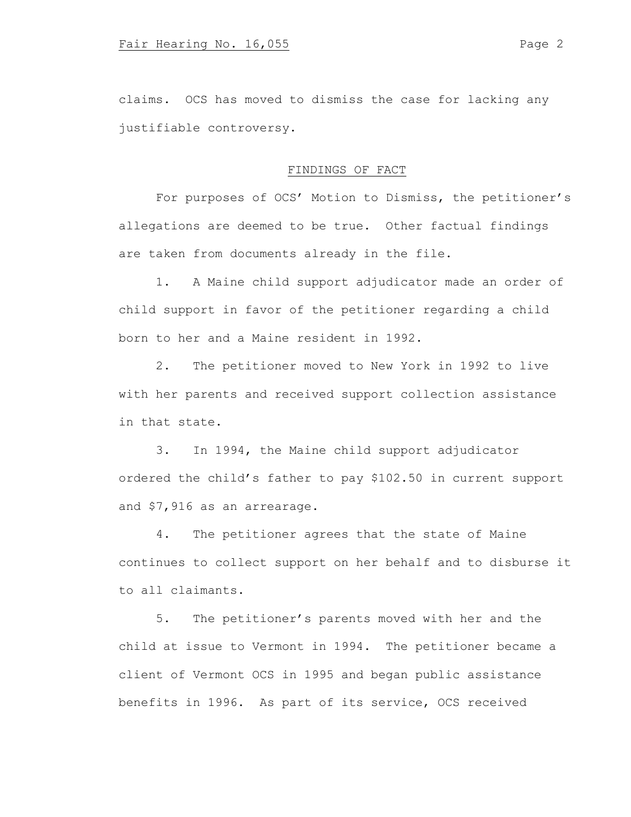claims. OCS has moved to dismiss the case for lacking any justifiable controversy.

# FINDINGS OF FACT

For purposes of OCS' Motion to Dismiss, the petitioner's allegations are deemed to be true. Other factual findings are taken from documents already in the file.

1. A Maine child support adjudicator made an order of child support in favor of the petitioner regarding a child born to her and a Maine resident in 1992.

2. The petitioner moved to New York in 1992 to live with her parents and received support collection assistance in that state.

3. In 1994, the Maine child support adjudicator ordered the child's father to pay \$102.50 in current support and \$7,916 as an arrearage.

4. The petitioner agrees that the state of Maine continues to collect support on her behalf and to disburse it to all claimants.

5. The petitioner's parents moved with her and the child at issue to Vermont in 1994. The petitioner became a client of Vermont OCS in 1995 and began public assistance benefits in 1996. As part of its service, OCS received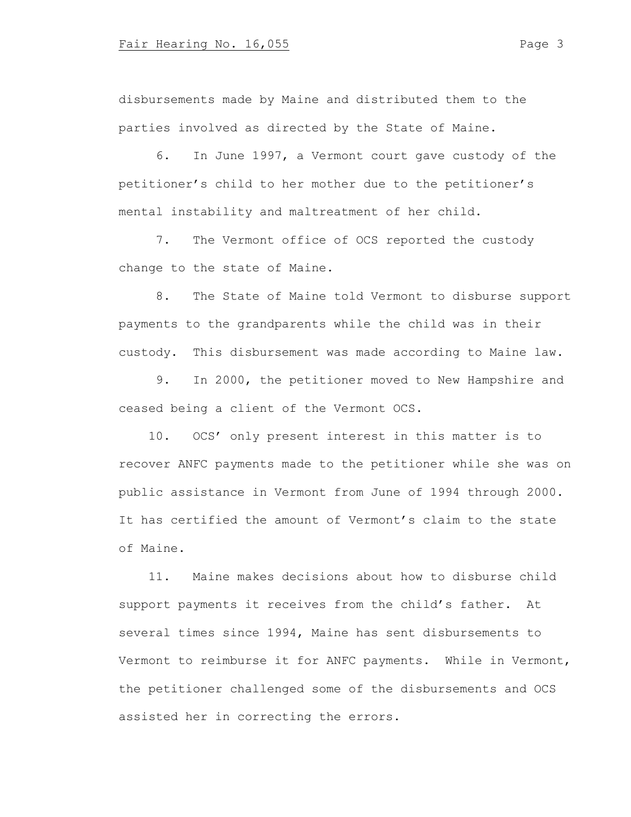disbursements made by Maine and distributed them to the parties involved as directed by the State of Maine.

6. In June 1997, a Vermont court gave custody of the petitioner's child to her mother due to the petitioner's mental instability and maltreatment of her child.

7. The Vermont office of OCS reported the custody change to the state of Maine.

8. The State of Maine told Vermont to disburse support payments to the grandparents while the child was in their custody. This disbursement was made according to Maine law.

9. In 2000, the petitioner moved to New Hampshire and ceased being a client of the Vermont OCS.

 10. OCS' only present interest in this matter is to recover ANFC payments made to the petitioner while she was on public assistance in Vermont from June of 1994 through 2000. It has certified the amount of Vermont's claim to the state of Maine.

 11. Maine makes decisions about how to disburse child support payments it receives from the child's father. At several times since 1994, Maine has sent disbursements to Vermont to reimburse it for ANFC payments. While in Vermont, the petitioner challenged some of the disbursements and OCS assisted her in correcting the errors.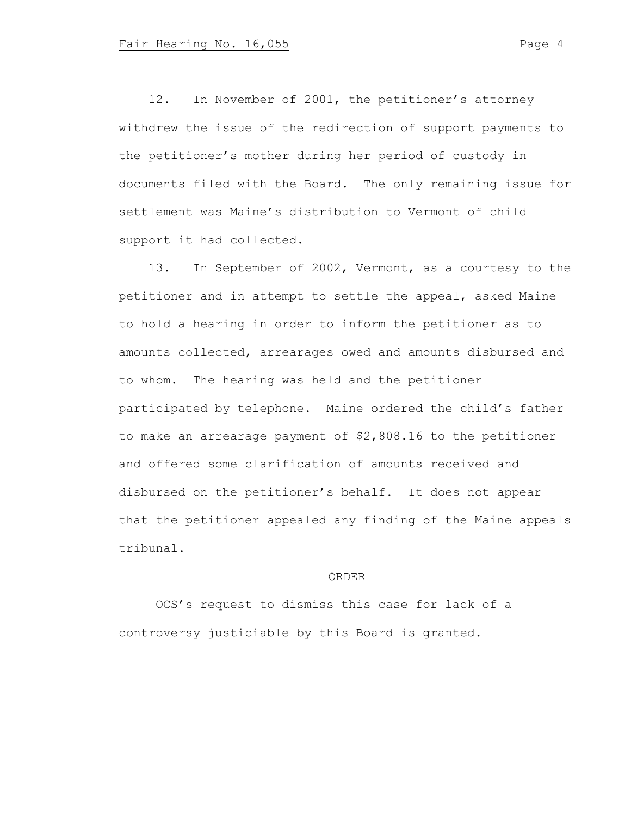12. In November of 2001, the petitioner's attorney withdrew the issue of the redirection of support payments to the petitioner's mother during her period of custody in documents filed with the Board. The only remaining issue for settlement was Maine's distribution to Vermont of child support it had collected.

 13. In September of 2002, Vermont, as a courtesy to the petitioner and in attempt to settle the appeal, asked Maine to hold a hearing in order to inform the petitioner as to amounts collected, arrearages owed and amounts disbursed and to whom. The hearing was held and the petitioner participated by telephone. Maine ordered the child's father to make an arrearage payment of \$2,808.16 to the petitioner and offered some clarification of amounts received and disbursed on the petitioner's behalf. It does not appear that the petitioner appealed any finding of the Maine appeals tribunal.

### ORDER

OCS's request to dismiss this case for lack of a controversy justiciable by this Board is granted.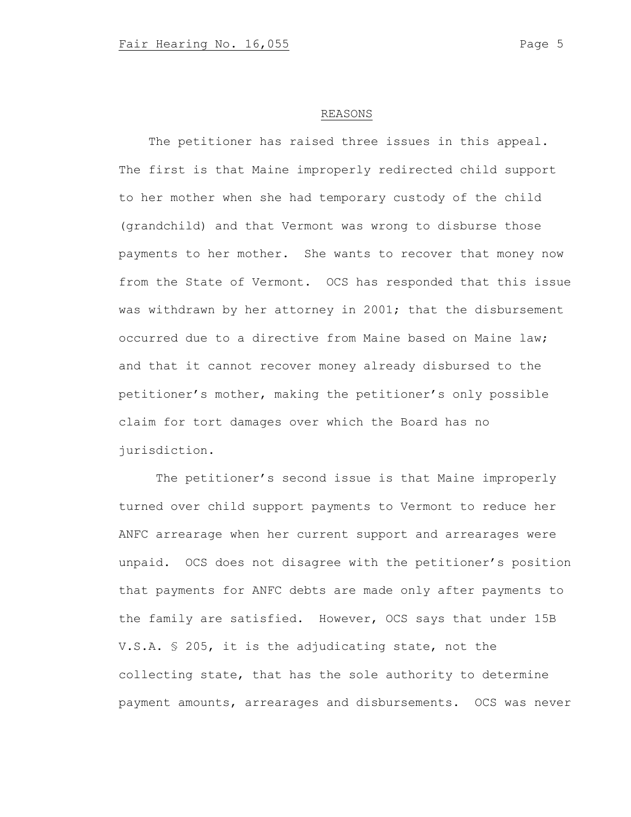## REASONS

The petitioner has raised three issues in this appeal. The first is that Maine improperly redirected child support to her mother when she had temporary custody of the child (grandchild) and that Vermont was wrong to disburse those payments to her mother. She wants to recover that money now from the State of Vermont. OCS has responded that this issue was withdrawn by her attorney in 2001; that the disbursement occurred due to a directive from Maine based on Maine law; and that it cannot recover money already disbursed to the petitioner's mother, making the petitioner's only possible claim for tort damages over which the Board has no jurisdiction.

The petitioner's second issue is that Maine improperly turned over child support payments to Vermont to reduce her ANFC arrearage when her current support and arrearages were unpaid. OCS does not disagree with the petitioner's position that payments for ANFC debts are made only after payments to the family are satisfied. However, OCS says that under 15B V.S.A. § 205, it is the adjudicating state, not the collecting state, that has the sole authority to determine payment amounts, arrearages and disbursements. OCS was never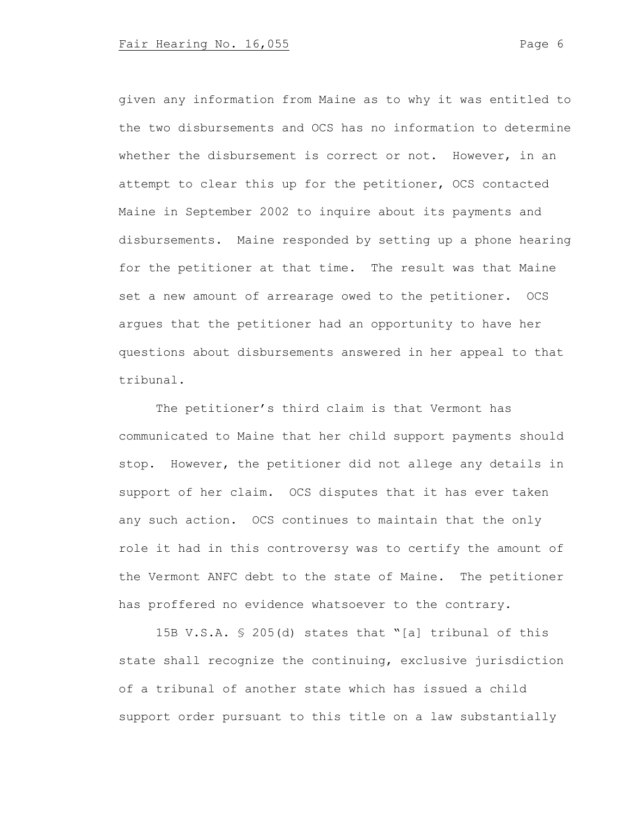given any information from Maine as to why it was entitled to the two disbursements and OCS has no information to determine whether the disbursement is correct or not. However, in an attempt to clear this up for the petitioner, OCS contacted Maine in September 2002 to inquire about its payments and disbursements. Maine responded by setting up a phone hearing for the petitioner at that time. The result was that Maine set a new amount of arrearage owed to the petitioner. OCS argues that the petitioner had an opportunity to have her questions about disbursements answered in her appeal to that tribunal.

The petitioner's third claim is that Vermont has communicated to Maine that her child support payments should stop. However, the petitioner did not allege any details in support of her claim. OCS disputes that it has ever taken any such action. OCS continues to maintain that the only role it had in this controversy was to certify the amount of the Vermont ANFC debt to the state of Maine. The petitioner has proffered no evidence whatsoever to the contrary.

15B V.S.A. § 205(d) states that "[a] tribunal of this state shall recognize the continuing, exclusive jurisdiction of a tribunal of another state which has issued a child support order pursuant to this title on a law substantially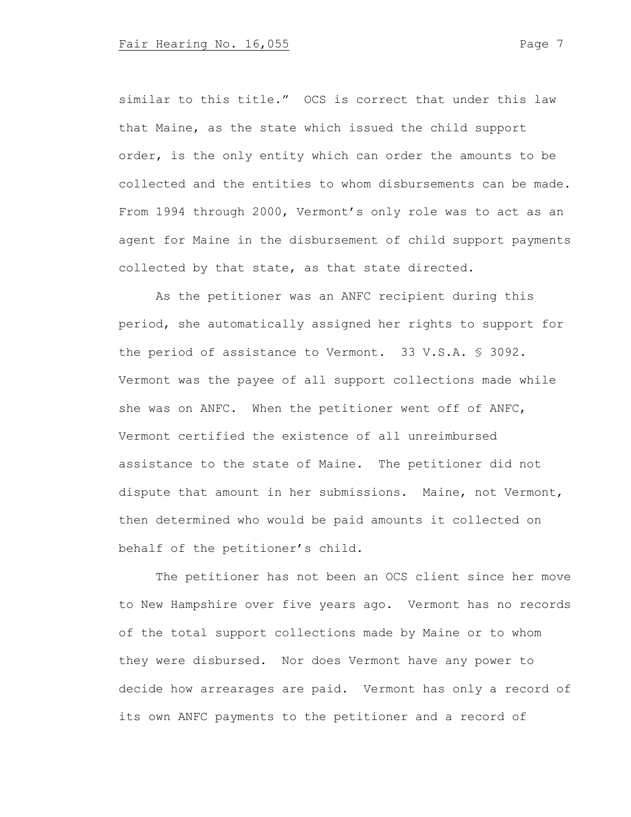similar to this title." OCS is correct that under this law that Maine, as the state which issued the child support order, is the only entity which can order the amounts to be collected and the entities to whom disbursements can be made. From 1994 through 2000, Vermont's only role was to act as an agent for Maine in the disbursement of child support payments collected by that state, as that state directed.

As the petitioner was an ANFC recipient during this period, she automatically assigned her rights to support for the period of assistance to Vermont. 33 V.S.A. § 3092. Vermont was the payee of all support collections made while she was on ANFC. When the petitioner went off of ANFC, Vermont certified the existence of all unreimbursed assistance to the state of Maine. The petitioner did not dispute that amount in her submissions. Maine, not Vermont, then determined who would be paid amounts it collected on behalf of the petitioner's child.

The petitioner has not been an OCS client since her move to New Hampshire over five years ago. Vermont has no records of the total support collections made by Maine or to whom they were disbursed. Nor does Vermont have any power to decide how arrearages are paid. Vermont has only a record of its own ANFC payments to the petitioner and a record of